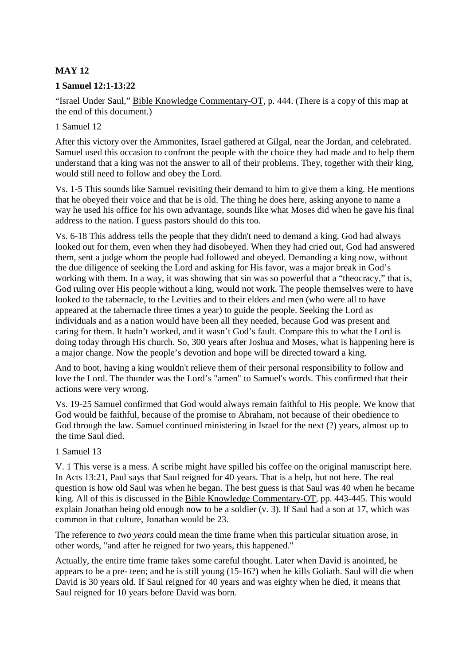# **MAY 12**

### **1 Samuel 12:1-13:22**

"Israel Under Saul," Bible Knowledge Commentary-OT, p. 444. (There is a copy of this map at the end of this document.)

### 1 Samuel 12

After this victory over the Ammonites, Israel gathered at Gilgal, near the Jordan, and celebrated. Samuel used this occasion to confront the people with the choice they had made and to help them understand that a king was not the answer to all of their problems. They, together with their king, would still need to follow and obey the Lord.

Vs. 1-5 This sounds like Samuel revisiting their demand to him to give them a king. He mentions that he obeyed their voice and that he is old. The thing he does here, asking anyone to name a way he used his office for his own advantage, sounds like what Moses did when he gave his final address to the nation. I guess pastors should do this too.

Vs. 6-18 This address tells the people that they didn't need to demand a king. God had always looked out for them, even when they had disobeyed. When they had cried out, God had answered them, sent a judge whom the people had followed and obeyed. Demanding a king now, without the due diligence of seeking the Lord and asking for His favor, was a major break in God's working with them. In a way, it was showing that sin was so powerful that a "theocracy," that is, God ruling over His people without a king, would not work. The people themselves were to have looked to the tabernacle, to the Levities and to their elders and men (who were all to have appeared at the tabernacle three times a year) to guide the people. Seeking the Lord as individuals and as a nation would have been all they needed, because God was present and caring for them. It hadn't worked, and it wasn't God's fault. Compare this to what the Lord is doing today through His church. So, 300 years after Joshua and Moses, what is happening here is a major change. Now the people's devotion and hope will be directed toward a king.

And to boot, having a king wouldn't relieve them of their personal responsibility to follow and love the Lord. The thunder was the Lord's "amen" to Samuel's words. This confirmed that their actions were very wrong.

Vs. 19-25 Samuel confirmed that God would always remain faithful to His people. We know that God would be faithful, because of the promise to Abraham, not because of their obedience to God through the law. Samuel continued ministering in Israel for the next (?) years, almost up to the time Saul died.

#### 1 Samuel 13

V. 1 This verse is a mess. A scribe might have spilled his coffee on the original manuscript here. In Acts 13:21, Paul says that Saul reigned for 40 years. That is a help, but not here. The real question is how old Saul was when he began. The best guess is that Saul was 40 when he became king. All of this is discussed in the Bible Knowledge Commentary-OT, pp. 443-445. This would explain Jonathan being old enough now to be a soldier (v. 3). If Saul had a son at 17, which was common in that culture, Jonathan would be 23.

The reference to *two years* could mean the time frame when this particular situation arose, in other words, "and after he reigned for two years, this happened."

Actually, the entire time frame takes some careful thought. Later when David is anointed, he appears to be a pre- teen; and he is still young (15-16?) when he kills Goliath. Saul will die when David is 30 years old. If Saul reigned for 40 years and was eighty when he died, it means that Saul reigned for 10 years before David was born.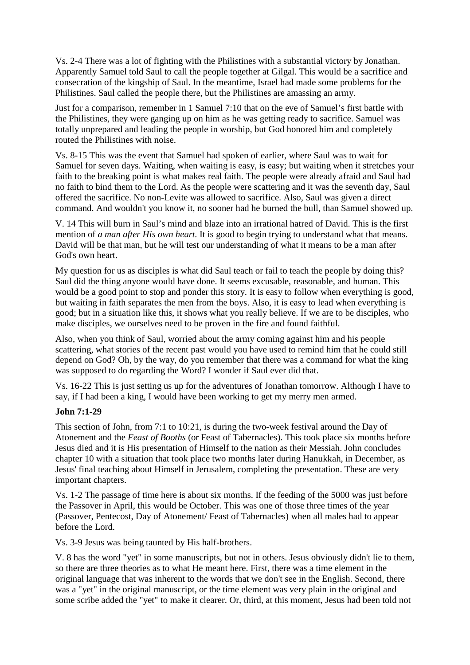Vs. 2-4 There was a lot of fighting with the Philistines with a substantial victory by Jonathan. Apparently Samuel told Saul to call the people together at Gilgal. This would be a sacrifice and consecration of the kingship of Saul. In the meantime, Israel had made some problems for the Philistines. Saul called the people there, but the Philistines are amassing an army.

Just for a comparison, remember in 1 Samuel 7:10 that on the eve of Samuel's first battle with the Philistines, they were ganging up on him as he was getting ready to sacrifice. Samuel was totally unprepared and leading the people in worship, but God honored him and completely routed the Philistines with noise.

Vs. 8-15 This was the event that Samuel had spoken of earlier, where Saul was to wait for Samuel for seven days. Waiting, when waiting is easy, is easy; but waiting when it stretches your faith to the breaking point is what makes real faith. The people were already afraid and Saul had no faith to bind them to the Lord. As the people were scattering and it was the seventh day, Saul offered the sacrifice. No non-Levite was allowed to sacrifice. Also, Saul was given a direct command. And wouldn't you know it, no sooner had he burned the bull, than Samuel showed up.

V. 14 This will burn in Saul's mind and blaze into an irrational hatred of David. This is the first mention of *a man after His own heart*. It is good to begin trying to understand what that means. David will be that man, but he will test our understanding of what it means to be a man after God's own heart.

My question for us as disciples is what did Saul teach or fail to teach the people by doing this? Saul did the thing anyone would have done. It seems excusable, reasonable, and human. This would be a good point to stop and ponder this story. It is easy to follow when everything is good, but waiting in faith separates the men from the boys. Also, it is easy to lead when everything is good; but in a situation like this, it shows what you really believe. If we are to be disciples, who make disciples, we ourselves need to be proven in the fire and found faithful.

Also, when you think of Saul, worried about the army coming against him and his people scattering, what stories of the recent past would you have used to remind him that he could still depend on God? Oh, by the way, do you remember that there was a command for what the king was supposed to do regarding the Word? I wonder if Saul ever did that.

Vs. 16-22 This is just setting us up for the adventures of Jonathan tomorrow. Although I have to say, if I had been a king, I would have been working to get my merry men armed.

## **John 7:1-29**

This section of John, from 7:1 to 10:21, is during the two-week festival around the Day of Atonement and the *Feast of Booths* (or Feast of Tabernacles). This took place six months before Jesus died and it is His presentation of Himself to the nation as their Messiah. John concludes chapter 10 with a situation that took place two months later during Hanukkah, in December, as Jesus' final teaching about Himself in Jerusalem, completing the presentation. These are very important chapters.

Vs. 1-2 The passage of time here is about six months. If the feeding of the 5000 was just before the Passover in April, this would be October. This was one of those three times of the year (Passover, Pentecost, Day of Atonement/ Feast of Tabernacles) when all males had to appear before the Lord.

Vs. 3-9 Jesus was being taunted by His half-brothers.

V. 8 has the word "yet" in some manuscripts, but not in others. Jesus obviously didn't lie to them, so there are three theories as to what He meant here. First, there was a time element in the original language that was inherent to the words that we don't see in the English. Second, there was a "yet" in the original manuscript, or the time element was very plain in the original and some scribe added the "yet" to make it clearer. Or, third, at this moment, Jesus had been told not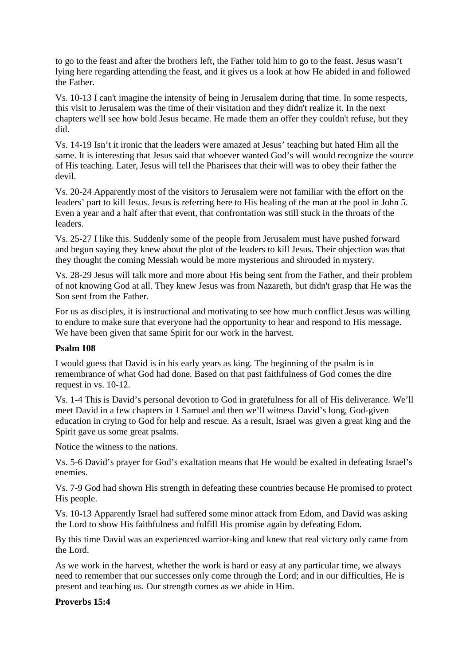to go to the feast and after the brothers left, the Father told him to go to the feast. Jesus wasn't lying here regarding attending the feast, and it gives us a look at how He abided in and followed the Father.

Vs. 10-13 I can't imagine the intensity of being in Jerusalem during that time. In some respects, this visit to Jerusalem was the time of their visitation and they didn't realize it. In the next chapters we'll see how bold Jesus became. He made them an offer they couldn't refuse, but they did.

Vs. 14-19 Isn't it ironic that the leaders were amazed at Jesus' teaching but hated Him all the same. It is interesting that Jesus said that whoever wanted God's will would recognize the source of His teaching. Later, Jesus will tell the Pharisees that their will was to obey their father the devil.

Vs. 20-24 Apparently most of the visitors to Jerusalem were not familiar with the effort on the leaders' part to kill Jesus. Jesus is referring here to His healing of the man at the pool in John 5. Even a year and a half after that event, that confrontation was still stuck in the throats of the leaders.

Vs. 25-27 I like this. Suddenly some of the people from Jerusalem must have pushed forward and begun saying they knew about the plot of the leaders to kill Jesus. Their objection was that they thought the coming Messiah would be more mysterious and shrouded in mystery.

Vs. 28-29 Jesus will talk more and more about His being sent from the Father, and their problem of not knowing God at all. They knew Jesus was from Nazareth, but didn't grasp that He was the Son sent from the Father.

For us as disciples, it is instructional and motivating to see how much conflict Jesus was willing to endure to make sure that everyone had the opportunity to hear and respond to His message. We have been given that same Spirit for our work in the harvest.

## **Psalm 108**

I would guess that David is in his early years as king. The beginning of the psalm is in remembrance of what God had done. Based on that past faithfulness of God comes the dire request in vs. 10-12.

Vs. 1-4 This is David's personal devotion to God in gratefulness for all of His deliverance. We'll meet David in a few chapters in 1 Samuel and then we'll witness David's long, God-given education in crying to God for help and rescue. As a result, Israel was given a great king and the Spirit gave us some great psalms.

Notice the witness to the nations.

Vs. 5-6 David's prayer for God's exaltation means that He would be exalted in defeating Israel's enemies.

Vs. 7-9 God had shown His strength in defeating these countries because He promised to protect His people.

Vs. 10-13 Apparently Israel had suffered some minor attack from Edom, and David was asking the Lord to show His faithfulness and fulfill His promise again by defeating Edom.

By this time David was an experienced warrior-king and knew that real victory only came from the Lord.

As we work in the harvest, whether the work is hard or easy at any particular time, we always need to remember that our successes only come through the Lord; and in our difficulties, He is present and teaching us. Our strength comes as we abide in Him.

## **Proverbs 15:4**